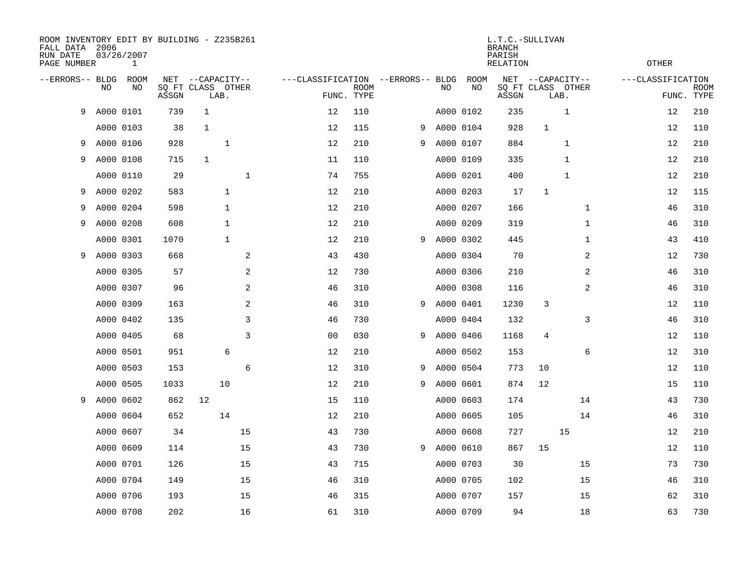| ROOM INVENTORY EDIT BY BUILDING - Z235B261<br>FALL DATA 2006<br>RUN DATE<br>PAGE NUMBER |           | 03/26/2007<br>$\mathbf{1}$ |              |                                           |             |                                   | L.T.C.-SULLIVAN<br><b>BRANCH</b><br>PARISH<br><b>RELATION</b> |   |           |                   |              |              |                                           |                   |            |             |
|-----------------------------------------------------------------------------------------|-----------|----------------------------|--------------|-------------------------------------------|-------------|-----------------------------------|---------------------------------------------------------------|---|-----------|-------------------|--------------|--------------|-------------------------------------------|-------------------|------------|-------------|
| --ERRORS-- BLDG                                                                         | NO.       | ROOM<br>NO                 | NET<br>ASSGN | --CAPACITY--<br>SQ FT CLASS OTHER<br>LAB. |             | ---CLASSIFICATION --ERRORS-- BLDG | <b>ROOM</b><br>FUNC. TYPE                                     |   | NO        | <b>ROOM</b><br>NO | NET<br>ASSGN |              | --CAPACITY--<br>SQ FT CLASS OTHER<br>LAB. | ---CLASSIFICATION | FUNC. TYPE | <b>ROOM</b> |
| 9                                                                                       | A000 0101 |                            | 739          | $\mathbf{1}$                              |             | 12                                | 110                                                           |   |           | A000 0102         | 235          |              | $\mathbf{1}$                              |                   | 12         | 210         |
|                                                                                         |           | A000 0103                  | 38           | $\mathbf{1}$                              |             | 12                                | 115                                                           | 9 | A000 0104 |                   | 928          | $\mathbf{1}$ |                                           |                   | 12         | 110         |
| 9                                                                                       |           | A000 0106                  | 928          | $\mathbf{1}$                              |             | 12                                | 210                                                           | 9 | A000 0107 |                   | 884          |              | 1                                         |                   | 12         | 210         |
| 9                                                                                       |           | A000 0108                  | 715          | $\mathbf{1}$                              |             | 11                                | 110                                                           |   |           | A000 0109         | 335          |              | 1                                         |                   | 12         | 210         |
|                                                                                         |           | A000 0110                  | 29           |                                           | $\mathbf 1$ | 74                                | 755                                                           |   |           | A000 0201         | 400          |              | $\mathbf{1}$                              |                   | 12         | 210         |
| 9                                                                                       |           | A000 0202                  | 583          | $\mathbf{1}$                              |             | 12                                | 210                                                           |   |           | A000 0203         | 17           | $\mathbf 1$  |                                           |                   | 12         | 115         |
| 9                                                                                       |           | A000 0204                  | 598          | $\mathbf{1}$                              |             | 12                                | 210                                                           |   |           | A000 0207         | 166          |              | $\mathbf{1}$                              |                   | 46         | 310         |
| 9                                                                                       | A000 0208 |                            | 608          | $\mathbf 1$                               |             | 12                                | 210                                                           |   |           | A000 0209         | 319          |              | $\mathbf{1}$                              |                   | 46         | 310         |
|                                                                                         |           | A000 0301                  | 1070         | $\mathbf{1}$                              |             | 12                                | 210                                                           | 9 | A000 0302 |                   | 445          |              | $\mathbf{1}$                              |                   | 43         | 410         |
| 9                                                                                       | A000 0303 |                            | 668          |                                           | 2           | 43                                | 430                                                           |   |           | A000 0304         | 70           |              | 2                                         |                   | 12         | 730         |
|                                                                                         |           | A000 0305                  | 57           |                                           | 2           | 12                                | 730                                                           |   |           | A000 0306         | 210          |              | 2                                         |                   | 46         | 310         |
|                                                                                         |           | A000 0307                  | 96           |                                           | 2           | 46                                | 310                                                           |   |           | A000 0308         | 116          |              | 2                                         |                   | 46         | 310         |
|                                                                                         |           | A000 0309                  | 163          |                                           | 2           | 46                                | 310                                                           | 9 | A000 0401 |                   | 1230         | 3            |                                           |                   | 12         | 110         |
|                                                                                         |           | A000 0402                  | 135          |                                           | 3           | 46                                | 730                                                           |   |           | A000 0404         | 132          |              | 3                                         |                   | 46         | 310         |
|                                                                                         |           | A000 0405                  | 68           |                                           | 3           | 0 <sub>0</sub>                    | 030                                                           | 9 | A000 0406 |                   | 1168         | 4            |                                           |                   | 12         | 110         |
|                                                                                         |           | A000 0501                  | 951          | 6                                         |             | 12                                | 210                                                           |   |           | A000 0502         | 153          |              | 6                                         |                   | 12         | 310         |
|                                                                                         |           | A000 0503                  | 153          |                                           | 6           | 12                                | 310                                                           | 9 | A000 0504 |                   | 773          | 10           |                                           |                   | 12         | 110         |
|                                                                                         |           | A000 0505                  | 1033         | 10                                        |             | 12                                | 210                                                           | 9 | A000 0601 |                   | 874          | 12           |                                           |                   | 15         | 110         |
| 9                                                                                       | A000 0602 |                            | 862          | 12                                        |             | 15                                | 110                                                           |   |           | A000 0603         | 174          |              | 14                                        |                   | 43         | 730         |
|                                                                                         |           | A000 0604                  | 652          | 14                                        |             | 12                                | 210                                                           |   |           | A000 0605         | 105          |              | 14                                        |                   | 46         | 310         |
|                                                                                         |           | A000 0607                  | 34           |                                           | 15          | 43                                | 730                                                           |   |           | A000 0608         | 727          |              | 15                                        |                   | 12         | 210         |
|                                                                                         |           | A000 0609                  | 114          |                                           | 15          | 43                                | 730                                                           | 9 | A000 0610 |                   | 867          | 15           |                                           |                   | 12         | 110         |
|                                                                                         |           | A000 0701                  | 126          |                                           | 15          | 43                                | 715                                                           |   |           | A000 0703         | 30           |              | 15                                        |                   | 73         | 730         |
|                                                                                         |           | A000 0704                  | 149          |                                           | 15          | 46                                | 310                                                           |   |           | A000 0705         | 102          |              | 15                                        |                   | 46         | 310         |
|                                                                                         |           | A000 0706                  | 193          |                                           | 15          | 46                                | 315                                                           |   |           | A000 0707         | 157          |              | 15                                        |                   | 62         | 310         |
|                                                                                         |           | A000 0708                  | 202          |                                           | 16          | 61                                | 310                                                           |   |           | A000 0709         | 94           |              | 18                                        |                   | 63         | 730         |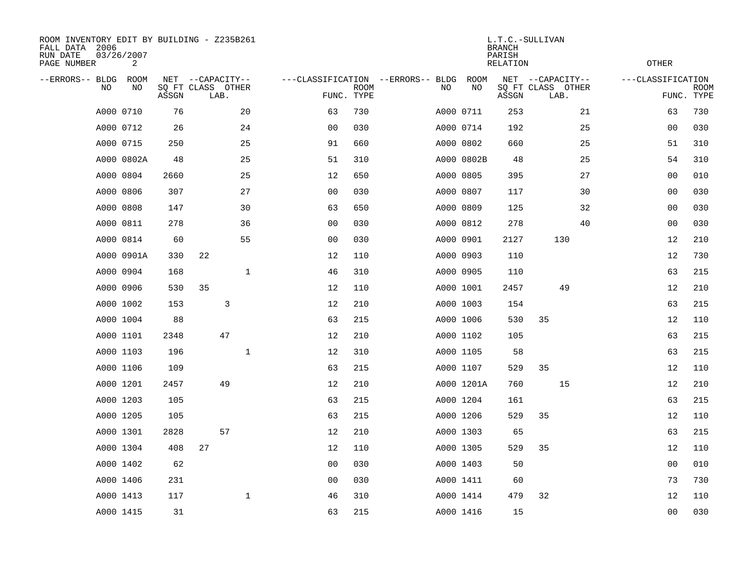| ROOM INVENTORY EDIT BY BUILDING - Z235B261<br>FALL DATA 2006<br>RUN DATE<br>PAGE NUMBER |    | 03/26/2007<br>2 |       |                                               |    |              | L.T.C.-SULLIVAN<br><b>BRANCH</b><br>PARISH<br><b>OTHER</b><br><b>RELATION</b> |                           |  |           |            |       |                                               |    |                   |                           |
|-----------------------------------------------------------------------------------------|----|-----------------|-------|-----------------------------------------------|----|--------------|-------------------------------------------------------------------------------|---------------------------|--|-----------|------------|-------|-----------------------------------------------|----|-------------------|---------------------------|
| --ERRORS-- BLDG                                                                         | NO | ROOM<br>NO      | ASSGN | NET --CAPACITY--<br>SQ FT CLASS OTHER<br>LAB. |    |              | ---CLASSIFICATION --ERRORS-- BLDG                                             | <b>ROOM</b><br>FUNC. TYPE |  | NO        | ROOM<br>NO | ASSGN | NET --CAPACITY--<br>SQ FT CLASS OTHER<br>LAB. |    | ---CLASSIFICATION | <b>ROOM</b><br>FUNC. TYPE |
|                                                                                         |    | A000 0710       | 76    |                                               | 20 |              | 63                                                                            | 730                       |  | A000 0711 |            | 253   |                                               | 21 | 63                | 730                       |
|                                                                                         |    | A000 0712       | 26    |                                               | 24 |              | 0 <sub>0</sub>                                                                | 030                       |  | A000 0714 |            | 192   |                                               | 25 | 00                | 030                       |
|                                                                                         |    | A000 0715       | 250   |                                               | 25 |              | 91                                                                            | 660                       |  | A000 0802 |            | 660   |                                               | 25 | 51                | 310                       |
|                                                                                         |    | A000 0802A      | 48    |                                               | 25 |              | 51                                                                            | 310                       |  |           | A000 0802B | 48    |                                               | 25 | 54                | 310                       |
|                                                                                         |    | A000 0804       | 2660  |                                               | 25 |              | 12                                                                            | 650                       |  | A000 0805 |            | 395   |                                               | 27 | 0 <sub>0</sub>    | 010                       |
|                                                                                         |    | A000 0806       | 307   |                                               | 27 |              | 0 <sub>0</sub>                                                                | 030                       |  | A000 0807 |            | 117   |                                               | 30 | 0 <sub>0</sub>    | 030                       |
|                                                                                         |    | A000 0808       | 147   |                                               | 30 |              | 63                                                                            | 650                       |  | A000 0809 |            | 125   |                                               | 32 | 00                | 030                       |
|                                                                                         |    | A000 0811       | 278   |                                               | 36 |              | 00                                                                            | 030                       |  | A000 0812 |            | 278   |                                               | 40 | 00                | 030                       |
|                                                                                         |    | A000 0814       | 60    |                                               | 55 |              | 0 <sub>0</sub>                                                                | 030                       |  | A000 0901 |            | 2127  | 130                                           |    | 12                | 210                       |
|                                                                                         |    | A000 0901A      | 330   | 22                                            |    |              | 12                                                                            | 110                       |  | A000 0903 |            | 110   |                                               |    | 12                | 730                       |
|                                                                                         |    | A000 0904       | 168   |                                               |    | 1            | 46                                                                            | 310                       |  | A000 0905 |            | 110   |                                               |    | 63                | 215                       |
|                                                                                         |    | A000 0906       | 530   | 35                                            |    |              | 12                                                                            | 110                       |  | A000 1001 |            | 2457  | 49                                            |    | 12                | 210                       |
|                                                                                         |    | A000 1002       | 153   |                                               | 3  |              | 12                                                                            | 210                       |  | A000 1003 |            | 154   |                                               |    | 63                | 215                       |
|                                                                                         |    | A000 1004       | 88    |                                               |    |              | 63                                                                            | 215                       |  | A000 1006 |            | 530   | 35                                            |    | 12                | 110                       |
|                                                                                         |    | A000 1101       | 2348  |                                               | 47 |              | 12                                                                            | 210                       |  | A000 1102 |            | 105   |                                               |    | 63                | 215                       |
|                                                                                         |    | A000 1103       | 196   |                                               |    | $\mathbf{1}$ | 12                                                                            | 310                       |  | A000 1105 |            | 58    |                                               |    | 63                | 215                       |
|                                                                                         |    | A000 1106       | 109   |                                               |    |              | 63                                                                            | 215                       |  |           | A000 1107  | 529   | 35                                            |    | 12                | 110                       |
|                                                                                         |    | A000 1201       | 2457  |                                               | 49 |              | 12                                                                            | 210                       |  |           | A000 1201A | 760   | 15                                            |    | 12                | 210                       |
|                                                                                         |    | A000 1203       | 105   |                                               |    |              | 63                                                                            | 215                       |  | A000 1204 |            | 161   |                                               |    | 63                | 215                       |
|                                                                                         |    | A000 1205       | 105   |                                               |    |              | 63                                                                            | 215                       |  | A000 1206 |            | 529   | 35                                            |    | 12                | 110                       |
|                                                                                         |    | A000 1301       | 2828  |                                               | 57 |              | 12                                                                            | 210                       |  | A000 1303 |            | 65    |                                               |    | 63                | 215                       |
|                                                                                         |    | A000 1304       | 408   | 27                                            |    |              | 12                                                                            | 110                       |  | A000 1305 |            | 529   | 35                                            |    | 12                | 110                       |
|                                                                                         |    | A000 1402       | 62    |                                               |    |              | 0 <sub>0</sub>                                                                | 030                       |  | A000 1403 |            | 50    |                                               |    | 0 <sub>0</sub>    | 010                       |
|                                                                                         |    | A000 1406       | 231   |                                               |    |              | 0 <sub>0</sub>                                                                | 030                       |  | A000 1411 |            | 60    |                                               |    | 73                | 730                       |
|                                                                                         |    | A000 1413       | 117   |                                               |    | $\mathbf{1}$ | 46                                                                            | 310                       |  | A000 1414 |            | 479   | 32                                            |    | 12                | 110                       |
|                                                                                         |    | A000 1415       | 31    |                                               |    |              | 63                                                                            | 215                       |  | A000 1416 |            | 15    |                                               |    | 0 <sub>0</sub>    | 030                       |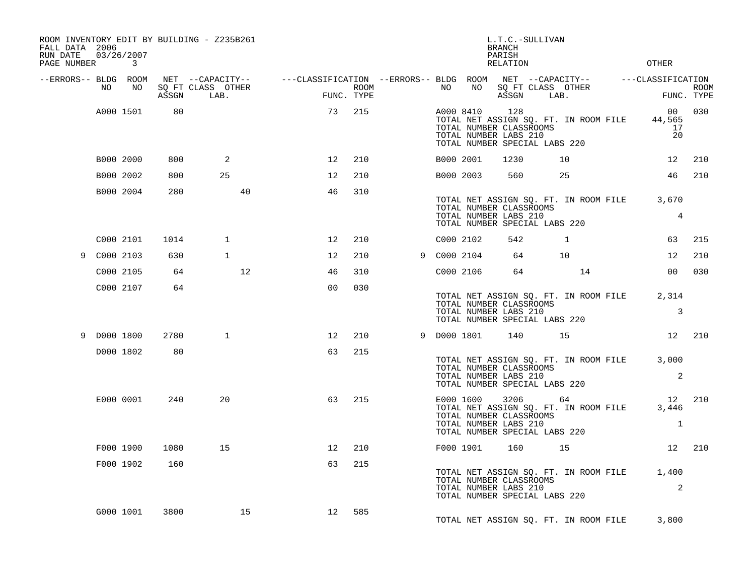| FALL DATA 2006<br>RUN DATE<br>PAGE NUMBER |             | 03/26/2007<br>$\mathbf{3}$ |       | ROOM INVENTORY EDIT BY BUILDING - Z235B261 |                   |                                                                                                |      |             |                                                                                                | L.T.C.-SULLIVAN<br><b>BRANCH</b><br>PARISH<br>RELATION |      |                                             | OTHER                                            |        |
|-------------------------------------------|-------------|----------------------------|-------|--------------------------------------------|-------------------|------------------------------------------------------------------------------------------------|------|-------------|------------------------------------------------------------------------------------------------|--------------------------------------------------------|------|---------------------------------------------|--------------------------------------------------|--------|
| --ERRORS-- BLDG ROOM                      |             |                            |       |                                            |                   | NET --CAPACITY-- - ---CLASSIFICATION --ERRORS-- BLDG ROOM NET --CAPACITY-- - ---CLASSIFICATION |      |             |                                                                                                |                                                        |      |                                             |                                                  |        |
|                                           | NO.         | NO                         | ASSGN | SQ FT CLASS OTHER<br>LAB.                  |                   | FUNC. TYPE                                                                                     | ROOM | NO .        | NO                                                                                             | ASSGN                                                  | LAB. | SQ FT CLASS OTHER                           | FUNC. TYPE                                       | ROOM   |
|                                           |             | A000 1501                  | 80    |                                            |                   | 73                                                                                             | 215  | A000 8410   | TOTAL NUMBER CLASSROOMS<br>TOTAL NUMBER LABS 210<br>TOTAL NUMBER SPECIAL LABS 220              | 128                                                    |      | TOTAL NET ASSIGN SQ. FT. IN ROOM FILE       | 44,565<br>17<br>20                               | 00 030 |
|                                           |             | B000 2000                  | 800   | 2                                          |                   | $12 \overline{ }$                                                                              | 210  | B000 2001   |                                                                                                | 1230                                                   |      | 10                                          | 12 <sup>°</sup>                                  | 210    |
|                                           |             | B000 2002                  | 800   | 25                                         |                   | 12                                                                                             | 210  | B000 2003   |                                                                                                | 560                                                    |      | 25                                          | 46                                               | 210    |
|                                           |             | B000 2004                  | 280   |                                            | 40                | 46                                                                                             | 310  |             | TOTAL NUMBER CLASSROOMS<br>TOTAL NUMBER LABS 210<br>TOTAL NUMBER SPECIAL LABS 220              |                                                        |      | TOTAL NET ASSIGN SQ. FT. IN ROOM FILE       | 3,670<br>$\overline{4}$                          |        |
|                                           |             | C000 2101                  | 1014  | $\mathbf{1}$                               |                   | 12                                                                                             | 210  | C000 2102   |                                                                                                | 542                                                    |      | $\mathbf{1}$                                | 63                                               | 215    |
|                                           | 9 C000 2103 |                            | 630   | $\mathbf{1}$                               |                   | 12                                                                                             | 210  | 9 C000 2104 |                                                                                                | 64                                                     |      | 10                                          | 12                                               | 210    |
|                                           |             | C000 2105                  | 64    |                                            | $12 \overline{ }$ | 46                                                                                             | 310  | C000 2106   |                                                                                                | 64                                                     |      | 14                                          | 0 <sub>0</sub>                                   | 030    |
|                                           |             | C000 2107                  | 64    |                                            |                   | 0 <sub>0</sub>                                                                                 | 030  |             | TOTAL NUMBER CLASSROOMS<br>TOTAL NUMBER LABS 210<br>TOTAL NUMBER SPECIAL LABS 220              |                                                        |      | TOTAL NET ASSIGN SQ. FT. IN ROOM FILE       | 2,314<br>$\overline{3}$                          |        |
|                                           | 9 D000 1800 |                            | 2780  | $\mathbf{1}$                               |                   | $12 \overline{ }$                                                                              | 210  | 9 D000 1801 |                                                                                                |                                                        | 140  | 15                                          | 12 210                                           |        |
|                                           |             | D000 1802                  | 80    |                                            |                   | 63                                                                                             | 215  |             | TOTAL NUMBER CLASSROOMS<br>TOTAL NUMBER LABS 210<br>TOTAL NUMBER SPECIAL LABS 220              |                                                        |      |                                             | TOTAL NET ASSIGN SQ. FT. IN ROOM FILE 3,000<br>2 |        |
|                                           |             | E000 0001                  | 240   | 20                                         |                   | 63                                                                                             | 215  |             | E000 1600<br>TOTAL NUMBER CLASSROOMS<br>TOTAL NUMBER LABS 210<br>TOTAL NUMBER SPECIAL LABS 220 |                                                        | 3206 | 64<br>TOTAL NET ASSIGN SQ. FT. IN ROOM FILE | 12<br>3,446<br>1                                 | 210    |
|                                           |             | F000 1900                  | 1080  | 15                                         |                   | 12                                                                                             | 210  |             | F000 1901                                                                                      | 160                                                    |      | 15                                          |                                                  | 12 210 |
|                                           |             | F000 1902                  | 160   |                                            |                   | 63                                                                                             | 215  |             | TOTAL NUMBER CLASSROOMS<br>TOTAL NUMBER LABS 210<br>TOTAL NUMBER SPECIAL LABS 220              |                                                        |      | TOTAL NET ASSIGN SQ. FT. IN ROOM FILE       | 1,400<br>2                                       |        |
|                                           |             | G000 1001                  | 3800  |                                            | 15                | 12                                                                                             | 585  |             |                                                                                                |                                                        |      | TOTAL NET ASSIGN SQ. FT. IN ROOM FILE       | 3,800                                            |        |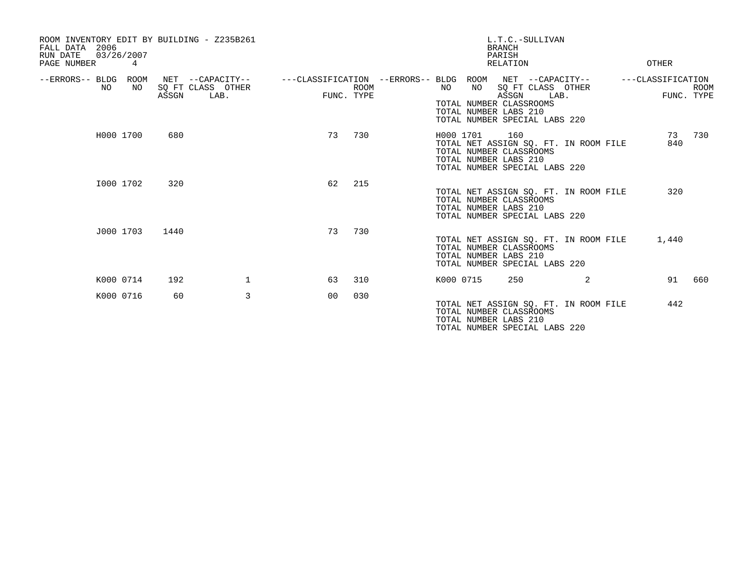| ROOM INVENTORY EDIT BY BUILDING - Z235B261<br>2006<br>FALL DATA<br>03/26/2007<br>RUN DATE<br>PAGE NUMBER | 4         |       |                                               |                |             |                                                         |           |                                                        | <b>BRANCH</b><br>PARISH<br><b>RELATION</b> | L.T.C.-SULLIVAN                                            |                                       | OTHER             |                           |
|----------------------------------------------------------------------------------------------------------|-----------|-------|-----------------------------------------------|----------------|-------------|---------------------------------------------------------|-----------|--------------------------------------------------------|--------------------------------------------|------------------------------------------------------------|---------------------------------------|-------------------|---------------------------|
| --ERRORS-- BLDG ROOM<br>NO.                                                                              | NO        | ASSGN | NET --CAPACITY--<br>SQ FT CLASS OTHER<br>LAB. | FUNC. TYPE     | <b>ROOM</b> | ---CLASSIFICATION --ERRORS-- BLDG ROOM NET --CAPACITY-- | NO        | NO<br>TOTAL NUMBER CLASSROOMS<br>TOTAL NUMBER LABS 210 | ASSGN                                      | SQ FT CLASS OTHER<br>LAB.<br>TOTAL NUMBER SPECIAL LABS 220 |                                       | ---CLASSIFICATION | <b>ROOM</b><br>FUNC. TYPE |
|                                                                                                          | H000 1700 | 680   |                                               | 73             | 730         |                                                         | H000 1701 | TOTAL NUMBER CLASSROOMS<br>TOTAL NUMBER LABS 210       | 160                                        | TOTAL NUMBER SPECIAL LABS 220                              | TOTAL NET ASSIGN SQ. FT. IN ROOM FILE | 73<br>840         | 730                       |
|                                                                                                          | I000 1702 | 320   |                                               | 62             | 215         |                                                         |           | TOTAL NUMBER CLASSROOMS<br>TOTAL NUMBER LABS 210       |                                            | TOTAL NUMBER SPECIAL LABS 220                              | TOTAL NET ASSIGN SQ. FT. IN ROOM FILE | 320               |                           |
|                                                                                                          | J000 1703 | 1440  |                                               | 73             | 730         |                                                         |           | TOTAL NUMBER CLASSROOMS<br>TOTAL NUMBER LABS 210       |                                            | TOTAL NUMBER SPECIAL LABS 220                              | TOTAL NET ASSIGN SQ. FT. IN ROOM FILE | 1,440             |                           |
|                                                                                                          | K000 0714 | 192   | $\mathbf{1}$                                  | 63             | 310         |                                                         | K000 0715 |                                                        | 250                                        |                                                            | 2                                     | 91                | 660                       |
|                                                                                                          | K000 0716 | 60    | 3                                             | 0 <sup>0</sup> | 030         |                                                         |           | TOTAL NUMBER CLASSROOMS<br>TOTAL NUMBER LABS 210       |                                            | TOTAL NUMBER SPECIAL LABS 220                              | TOTAL NET ASSIGN SQ. FT. IN ROOM FILE | 442               |                           |